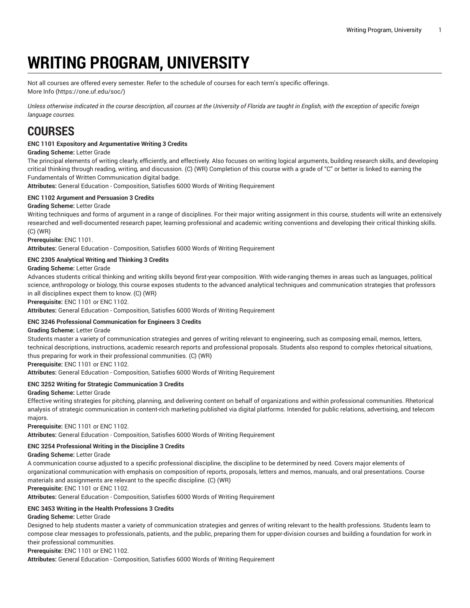# **WRITING PROGRAM, UNIVERSITY**

Not all courses are offered every semester. Refer to the schedule of courses for each term's specific offerings. [More](https://one.uf.edu/soc/) Info [\(https://one.uf.edu/soc/](https://one.uf.edu/soc/))

Unless otherwise indicated in the course description, all courses at the University of Florida are taught in English, with the exception of specific foreign *language courses.*

# **COURSES**

# **ENC 1101 Expository and Argumentative Writing 3 Credits**

# **Grading Scheme:** Letter Grade

The principal elements of writing clearly, efficiently, and effectively. Also focuses on writing logical arguments, building research skills, and developing critical thinking through reading, writing, and discussion. (C) (WR) Completion of this course with a grade of "C" or better is linked to earning the Fundamentals of Written Communication digital badge.

**Attributes:** General Education - Composition, Satisfies 6000 Words of Writing Requirement

# **ENC 1102 Argument and Persuasion 3 Credits**

# **Grading Scheme:** Letter Grade

Writing techniques and forms of argument in a range of disciplines. For their major writing assignment in this course, students will write an extensively researched and well-documented research paper, learning professional and academic writing conventions and developing their critical thinking skills. (C) (WR)

**Prerequisite:** ENC 1101.

**Attributes:** General Education - Composition, Satisfies 6000 Words of Writing Requirement

#### **ENC 2305 Analytical Writing and Thinking 3 Credits**

#### **Grading Scheme:** Letter Grade

Advances students critical thinking and writing skills beyond first-year composition. With wide-ranging themes in areas such as languages, political science, anthropology or biology, this course exposes students to the advanced analytical techniques and communication strategies that professors in all disciplines expect them to know. (C) (WR)

**Prerequisite:** ENC 1101 or ENC 1102.

**Attributes:** General Education - Composition, Satisfies 6000 Words of Writing Requirement

# **ENC 3246 Professional Communication for Engineers 3 Credits**

# **Grading Scheme:** Letter Grade

Students master a variety of communication strategies and genres of writing relevant to engineering, such as composing email, memos, letters, technical descriptions, instructions, academic research reports and professional proposals. Students also respond to complex rhetorical situations, thus preparing for work in their professional communities. (C) (WR)

**Prerequisite:** ENC 1101 or ENC 1102.

**Attributes:** General Education - Composition, Satisfies 6000 Words of Writing Requirement

# **ENC 3252 Writing for Strategic Communication 3 Credits**

#### **Grading Scheme:** Letter Grade

Effective writing strategies for pitching, planning, and delivering content on behalf of organizations and within professional communities. Rhetorical analysis of strategic communication in content-rich marketing published via digital platforms. Intended for public relations, advertising, and telecom majors.

**Prerequisite:** ENC 1101 or ENC 1102.

**Attributes:** General Education - Composition, Satisfies 6000 Words of Writing Requirement

# **ENC 3254 Professional Writing in the Discipline 3 Credits**

#### **Grading Scheme:** Letter Grade

A communication course adjusted to a specific professional discipline, the discipline to be determined by need. Covers major elements of organizational communication with emphasis on composition of reports, proposals, letters and memos, manuals, and oral presentations. Course materials and assignments are relevant to the specific discipline. (C) (WR)

**Prerequisite:** ENC 1101 or ENC 1102.

**Attributes:** General Education - Composition, Satisfies 6000 Words of Writing Requirement

# **ENC 3453 Writing in the Health Professions 3 Credits**

#### **Grading Scheme:** Letter Grade

Designed to help students master a variety of communication strategies and genres of writing relevant to the health professions. Students learn to compose clear messages to professionals, patients, and the public, preparing them for upper-division courses and building a foundation for work in their professional communities.

**Prerequisite:** ENC 1101 or ENC 1102.

**Attributes:** General Education - Composition, Satisfies 6000 Words of Writing Requirement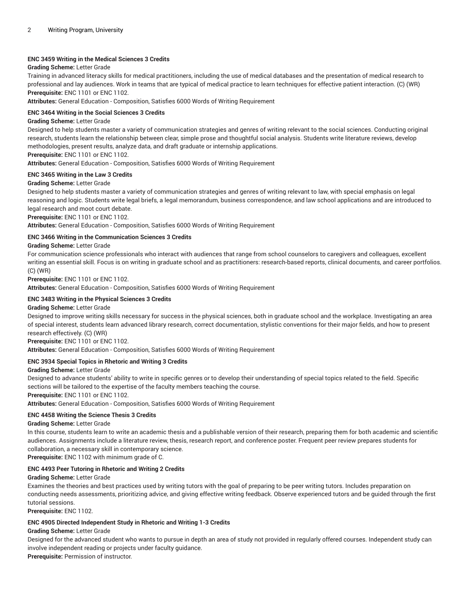# **ENC 3459 Writing in the Medical Sciences 3 Credits**

#### **Grading Scheme:** Letter Grade

Training in advanced literacy skills for medical practitioners, including the use of medical databases and the presentation of medical research to professional and lay audiences. Work in teams that are typical of medical practice to learn techniques for effective patient interaction. (C) (WR) **Prerequisite:** ENC 1101 or ENC 1102.

**Attributes:** General Education - Composition, Satisfies 6000 Words of Writing Requirement

# **ENC 3464 Writing in the Social Sciences 3 Credits**

#### **Grading Scheme:** Letter Grade

Designed to help students master a variety of communication strategies and genres of writing relevant to the social sciences. Conducting original research, students learn the relationship between clear, simple prose and thoughtful social analysis. Students write literature reviews, develop methodologies, present results, analyze data, and draft graduate or internship applications.

# **Prerequisite:** ENC 1101 or ENC 1102.

**Attributes:** General Education - Composition, Satisfies 6000 Words of Writing Requirement

#### **ENC 3465 Writing in the Law 3 Credits**

#### **Grading Scheme:** Letter Grade

Designed to help students master a variety of communication strategies and genres of writing relevant to law, with special emphasis on legal reasoning and logic. Students write legal briefs, a legal memorandum, business correspondence, and law school applications and are introduced to legal research and moot court debate.

**Prerequisite:** ENC 1101 or ENC 1102.

**Attributes:** General Education - Composition, Satisfies 6000 Words of Writing Requirement

#### **ENC 3466 Writing in the Communication Sciences 3 Credits**

#### **Grading Scheme:** Letter Grade

For communication science professionals who interact with audiences that range from school counselors to caregivers and colleagues, excellent writing an essential skill. Focus is on writing in graduate school and as practitioners: research-based reports, clinical documents, and career portfolios. (C) (WR)

**Prerequisite:** ENC 1101 or ENC 1102.

**Attributes:** General Education - Composition, Satisfies 6000 Words of Writing Requirement

# **ENC 3483 Writing in the Physical Sciences 3 Credits**

# **Grading Scheme:** Letter Grade

Designed to improve writing skills necessary for success in the physical sciences, both in graduate school and the workplace. Investigating an area of special interest, students learn advanced library research, correct documentation, stylistic conventions for their major fields, and how to present research effectively. (C) (WR)

**Prerequisite:** ENC 1101 or ENC 1102.

**Attributes:** General Education - Composition, Satisfies 6000 Words of Writing Requirement

#### **ENC 3934 Special Topics in Rhetoric and Writing 3 Credits**

#### **Grading Scheme:** Letter Grade

Designed to advance students' ability to write in specific genres or to develop their understanding of special topics related to the field. Specific sections will be tailored to the expertise of the faculty members teaching the course.

**Prerequisite:** ENC 1101 or ENC 1102.

**Attributes:** General Education - Composition, Satisfies 6000 Words of Writing Requirement

#### **ENC 4458 Writing the Science Thesis 3 Credits**

#### **Grading Scheme:** Letter Grade

In this course, students learn to write an academic thesis and a publishable version of their research, preparing them for both academic and scientific audiences. Assignments include a literature review, thesis, research report, and conference poster. Frequent peer review prepares students for collaboration, a necessary skill in contemporary science.

**Prerequisite:** ENC 1102 with minimum grade of C.

# **ENC 4493 Peer Tutoring in Rhetoric and Writing 2 Credits**

#### **Grading Scheme:** Letter Grade

Examines the theories and best practices used by writing tutors with the goal of preparing to be peer writing tutors. Includes preparation on conducting needs assessments, prioritizing advice, and giving effective writing feedback. Observe experienced tutors and be guided through the first tutorial sessions.

**Prerequisite:** ENC 1102.

#### **ENC 4905 Directed Independent Study in Rhetoric and Writing 1-3 Credits**

#### **Grading Scheme:** Letter Grade

Designed for the advanced student who wants to pursue in depth an area of study not provided in regularly offered courses. Independent study can involve independent reading or projects under faculty guidance. **Prerequisite:** Permission of instructor.